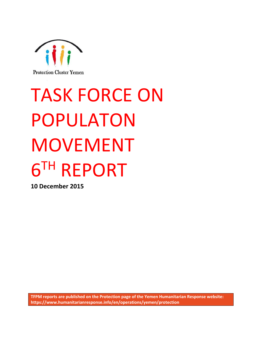

# TASK FORCE ON POPULATON MOVEMENT 6 TH REPORT

**10 December 2015**

**TFPM reports are published on the Protection page of the Yemen Humanitarian Response website: https://www.humanitarianresponse.info/en/operations/yemen/protection**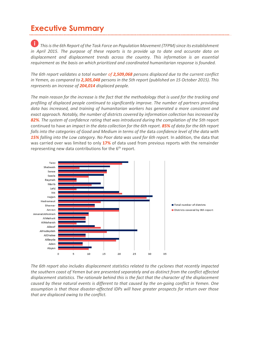# **Executive Summary**

 *This is the 6th Report of the Task Force on Population Movement (TFPM)since its establishment in April 2015. The purpose of these reports is to provide up to date and accurate data on displacement and displacement trends across the country. This information is an essential requirement as the basis on which prioritized and coordinated humanitarian response is founded.* 

*The 6th report validates a total number of 2,509,068 persons displaced due to the current conflict in Yemen, as compared to 2,305,048 persons in the 5th report (published on 15 October 2015). This represents an increase of 204,014 displaced people.* 

*The main reason for the increase is the fact that the methodology that is used for the tracking and profiling of displaced people continued to significantly improve. The number of partners providing data has increased, and training of humanitarian workers has generated a more consistent and exact approach. Notably, the number of districts covered by information collection has increased by 82%. The system of confidence rating that was introduced during the compilation of the 5th* report continued to have an *impact in the data collection for the 6th report. 85% of data for the 6th report falls into the categories of Good and Medium in terms of the* data *co*n*fidence level of the data with 15% falling into the Low category. No Poor data was used for 6th report.* In addition, the data that was carried over was limited to only **17%** of data used from previous reports with the remainder representing new data contributions for the  $6<sup>th</sup>$  report.



*The 6th report also includes displacement statistics related to the cyclones that recently impacted the southern coast of Yemen but are presented separately and as distinct from the conflict affected displacement statistics. The rationale behind this is the fact that the character of the displacement caused by these natural events is different to that caused by the on-going conflict in Yemen. One assumption is that those disaster-affected IDPs will have greater prospects for return over those that are displaced owing to the conflict.*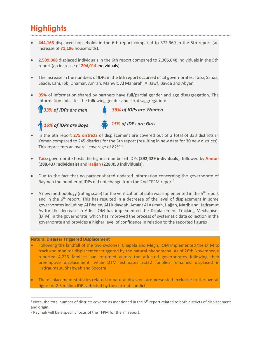# **Highlights**

- **444,165** displaced households in the 6th report compared to 372,969 in the 5th report (an increase of **71,196** households).
- **2,509,068** displaced individuals in the 6th report compared to 2,305,048 individuals in the 5th report (an increase of **204,014** individuals).
- The increase in the numbers of IDPs in the 6th report occurred in 13 governorates: Taizz, Sanaa, Saada, Lahj, Ibb, Dhamar, Amran, Mahwit, Al Maharah, Al Jawf, Bayda and Abyan.
- **95%** of information shared by partners have full/partial gender and age disaggregation. The information indicates the following gender and sex disaggregation:



- In the 6th report **275 districts** of displacement are covered out of a total of 333 districts in Yemen compared to 245 districts for the 5th report (resulting in new data for 30 new districts). This represents an overall coverage of 82%.<sup>1</sup>
- **Taizz** governorate hosts the highest number of IDPs (**392,429 individuals**), followed by **Amran** (**288,437 individuals**) and **Hajjah** (**228,453 individuals**).
- Due to the fact that no partner shared updated information concerning the governorate of Raymah the number of IDPs did not change from the 2nd TFPM report<sup>2</sup>.
- A new methodology (rating scale) for the verification of data was implemented in the 5th report and in the  $6<sup>th</sup>$  report. This has resulted in a decrease of the level of displacement in some governorates including: Al Dhalee, Al Hudaydah, Amant Al Asimah, Hajjah, Marib and Hadramut. As for the decrease in Aden IOM has implemented the Displacement Tracking Mechanism (DTM) in the governorate, which has improved the process of systematic data collection in the governorate and provides a higher level of confidence in relation to the reported figures

### **Natural Disaster Triggered Displacement**

 $\overline{a}$ 

- Following the landfall of the two cyclones, Chapala and Megh, IOM implemented the DTM to track and monitor displacement triggered by the natural phenomena. As of 26th November, a reported 4,226 families had returned across the affected governorates following their preemptive displacement, while DTM estimates 3,322 families remained displaced in Hadraumaut, Shabwah and Socotra.
- The displacement statistics related to natural disasters are presented exclusive to the overall figure of 2.5 million IDPs affected by the current conflict.

<sup>&</sup>lt;sup>1</sup> Note, the total number of districts covered as mentioned in the  $5<sup>th</sup>$  report related to both districts of displacement and origin.

<sup>&</sup>lt;sup>2</sup> Raymah will be a specific focus of the TFPM for the  $7<sup>th</sup>$  report.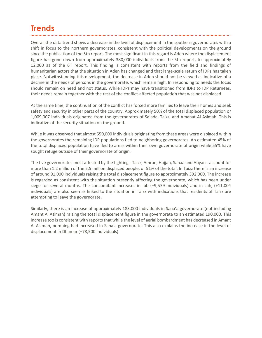# **Trends**

Overall the data trend shows a decrease in the level of displacement in the southern governorates with a shift in focus to the northern governorates, consistent with the political developments on the ground since the publication of the 5th report. The most significant in this regard is Aden where the displacement figure has gone down from approximately 380,000 individuals from the 5th report, to approximately 12,000 as of the  $6<sup>th</sup>$  report. This finding is consistent with reports from the field and findings of humanitarian actors that the situation in Aden has changed and that large-scale return of IDPs has taken place. Notwithstanding this development, the decrease in Aden should not be viewed as indicative of a decline in the needs of persons in the governorate, which remain high. In responding to needs the focus should remain on need and not status. While IDPs may have transitioned from IDPs to IDP Returnees, their needs remain together with the rest of the conflict-affected population that was not displaced.

At the same time, the continuation of the conflict has forced more families to leave their homes and seek safety and security in other parts of the country. Approximately 50% of the total displaced population or 1,009,007 individuals originated from the governorates of Sa'ada, Taizz, and Amanat Al Asimah. This is indicative of the security situation on the ground.

While it was observed that almost 550,000 individuals originating from these areas were displaced within the governorates the remaining IDP populations fled to neighboring governorates. An estimated 45% of the total displaced population have fled to areas within their own governorate of origin while 55% have sought refuge outside of their governorate of origin.

The five governorates most affected by the fighting - Taizz, Amran, Hajjah, Sanaa and Abyan - account for more than 1.2 million of the 2.5 million displaced people, or 51% of the total. In Taizz there is an increase of around 91,000 individuals raising the total displacement figure to approximately 392,000. The increase is regarded as consistent with the situation presently affecting the governorate, which has been under siege for several months. The concomitant increases in Ibb (+9,579 individuals) and in Lahj (+11,004 individuals) are also seen as linked to the situation in Taizz with indications that residents of Taizz are attempting to leave the governorate.

Similarly, there is an increase of approximately 183,000 individuals in Sana'a governorate (not including Amant Al Asimah) raising the total displacement figure in the governorate to an estimated 190,000. This increase too is consistent with reports that while the level of aerial bombardment has decreased in Amant Al Asimah, bombing had increased in Sana'a governorate. This also explains the increase in the level of displacement in Dhamar (+78,500 individuals).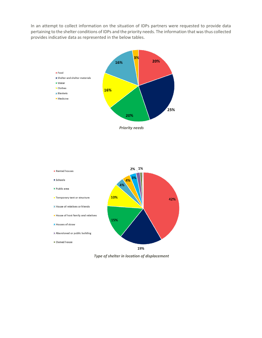In an attempt to collect information on the situation of IDPs partners were requested to provide data pertaining to the shelter conditions of IDPs and the priority needs. The information that was thus collected provides indicative data as represented in the below tables.



*Priority needs*



*Type of shelter in location of displacement*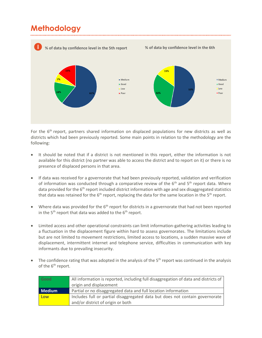# **Methodology**



For the 6<sup>th</sup> report, partners shared information on displaced populations for new districts as well as districts which had been previously reported. Some main points in relation to the methodology are the following:

- It should be noted that if a district is not mentioned in this report, either the information is not available for this district (no partner was able to access the district and to report on it) or there is no presence of displaced persons in that area.
- If data was received for a governorate that had been previously reported, validation and verification of information was conducted through a comparative review of the  $6<sup>th</sup>$  and  $5<sup>th</sup>$  report data. Where data provided for the 6<sup>th</sup> report included district information with age and sex disaggregated statistics that data was retained for the  $6<sup>th</sup>$  report, replacing the data for the same location in the  $5<sup>th</sup>$  report.
- Where data was provided for the  $6<sup>th</sup>$  report for districts in a governorate that had not been reported in the  $5<sup>th</sup>$  report that data was added to the  $6<sup>th</sup>$  report.
- Limited access and other operational constraints can limit information-gathering activities leading to a fluctuation in the displacement figure within hard to assess governorates. The limitations include but are not limited to movement restrictions, limited access to locations, a sudden massive wave of displacement, intermittent internet and telephone service, difficulties in communication with key informants due to prevailing insecurity.
- The confidence rating that was adopted in the analysis of the 5<sup>th</sup> report was continued in the analysis of the  $6<sup>th</sup>$  report.

| Good          | All information is reported, including full disaggregation of data and districts of |
|---------------|-------------------------------------------------------------------------------------|
|               | origin and displacement                                                             |
| <b>Medium</b> | Partial or no disaggregated data and full location information                      |
| Low           | Includes full or partial disaggregated data but does not contain governorate        |
|               | and/or district of origin or both                                                   |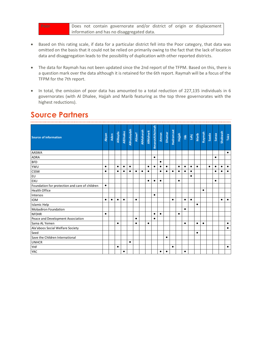**Poor** Does not contain governorate and/or district of origin or displacement information and has no disaggregated data.

- Based on this rating scale, if data for a particular district fell into the Poor category, that data was omitted on the basis that it could not be relied on primarily owing to the fact that the lack of location data and disaggregation leads to the possibility of duplication with other reported districts.
- The data for Raymah has not been updated since the 2nd report of the TFPM. Based on this, there is a question mark over the data although it is retained for the 6th report. Raymah will be a focus of the TFPM for the 7th report.
- In total, the omission of poor data has amounted to a total reduction of 227,135 individuals in 6 governorates (with Al Dhalee, Hajjah and Marib featuring as the top three governorates with the highest reductions).

| <b>Source of information</b>                   | <b>Abyan</b> | Aden      | AlBayda   |           | AlDhalee<br>AlHudaydah | Allawf    | <b>AIMaharah</b> | <b>AlMahwit</b> | AmanatAlAsimah | Amran     |           | Dhamar<br>Hadramaut | Hajjah    |           |           | lbb<br>Lahj<br>Marib | Raymah    | Saada     | Sanaa     | Shabwah   | Taizz     |
|------------------------------------------------|--------------|-----------|-----------|-----------|------------------------|-----------|------------------|-----------------|----------------|-----------|-----------|---------------------|-----------|-----------|-----------|----------------------|-----------|-----------|-----------|-----------|-----------|
| <b>AASWA</b>                                   |              |           |           |           |                        |           |                  |                 |                |           |           |                     |           |           |           |                      |           |           |           |           | $\bullet$ |
| <b>ADRA</b>                                    |              |           |           |           |                        |           |                  |                 | $\bullet$      |           |           |                     |           |           |           |                      |           |           | $\bullet$ |           |           |
| <b>BFD</b>                                     |              |           |           |           |                        |           |                  |                 |                | $\bullet$ |           |                     |           |           |           |                      |           |           |           |           |           |
| YWU                                            | $\bullet$    |           | $\bullet$ | $\bullet$ | $\bullet$              |           |                  | $\bullet$       | $\bullet$      | $\bullet$ | $\bullet$ |                     | $\bullet$ | $\bullet$ | $\bullet$ | $\bullet$            |           | $\bullet$ | $\bullet$ | ٠         | $\bullet$ |
| <b>CSSW</b>                                    | $\bullet$    |           | $\bullet$ | ٠         | $\bullet$              | $\bullet$ | $\bullet$        | $\bullet$       |                | $\bullet$ | ٠         | $\bullet$           | $\bullet$ | $\bullet$ | $\bullet$ |                      |           |           | $\bullet$ | ٠         | $\bullet$ |
| EU                                             |              |           |           |           |                        |           |                  |                 |                |           |           |                     |           |           | $\bullet$ |                      |           |           |           |           |           |
| EXU                                            |              |           |           |           |                        |           |                  | $\bullet$       | $\bullet$      | $\bullet$ |           |                     | $\bullet$ |           |           |                      |           |           | $\bullet$ |           |           |
| Foundation for protection and care of children | $\bullet$    |           |           |           |                        |           |                  |                 |                |           |           |                     |           |           |           |                      |           |           |           |           |           |
| <b>Health Office</b>                           |              |           |           |           |                        |           |                  |                 |                |           |           |                     |           |           |           |                      | $\bullet$ |           |           |           |           |
| Intersos                                       |              |           |           |           |                        |           |                  |                 | $\bullet$      |           |           |                     |           |           |           |                      |           |           |           |           |           |
| <b>IOM</b>                                     | $\bullet$    | $\bullet$ | $\bullet$ | $\bullet$ |                        | $\bullet$ |                  |                 |                |           |           | $\bullet$           |           | $\bullet$ | $\bullet$ |                      |           |           |           | $\bullet$ | $\bullet$ |
| <b>Islamic Help</b>                            |              |           |           |           |                        |           |                  |                 |                |           |           |                     |           |           |           | $\bullet$            |           |           |           |           |           |
| <b>Mobadiron Foundation</b>                    |              |           |           |           |                        |           |                  |                 |                |           |           |                     |           | $\bullet$ |           |                      |           |           |           |           |           |
| <b>NFDHR</b>                                   | $\bullet$    |           |           |           |                        |           |                  |                 | $\bullet$      | $\bullet$ |           |                     | $\bullet$ |           |           |                      |           |           |           |           |           |
| Peace and Development Association              |              |           |           |           |                        | $\bullet$ |                  |                 | $\bullet$      |           |           |                     |           |           |           |                      |           |           |           |           |           |
| Sama AL Yemen                                  |              |           | $\bullet$ |           |                        | $\bullet$ |                  | $\bullet$       |                |           |           |                     |           | $\bullet$ |           | $\bullet$            | $\bullet$ |           |           |           | $\bullet$ |
| Ala'aboos Social Welfare Society               |              |           |           |           |                        |           |                  |                 |                |           |           |                     |           |           |           |                      |           |           |           |           | $\bullet$ |
| Seed                                           |              |           |           |           |                        |           |                  |                 |                |           |           |                     |           |           |           | $\bullet$            |           |           |           |           |           |
| Save the Children International                |              |           |           |           |                        |           |                  |                 |                |           | $\bullet$ |                     |           |           |           |                      |           |           |           |           |           |
| <b>UNHCR</b>                                   |              |           |           |           | $\bullet$              |           |                  |                 |                |           |           |                     |           |           |           |                      |           |           |           |           |           |
| YHF                                            |              |           | $\bullet$ |           |                        |           |                  |                 |                |           |           | $\bullet$           |           |           |           |                      |           |           |           |           | $\bullet$ |
| <b>YRC</b>                                     |              |           |           | ٠         |                        |           |                  |                 |                | $\bullet$ | ٠         |                     |           | $\bullet$ |           |                      |           |           |           |           |           |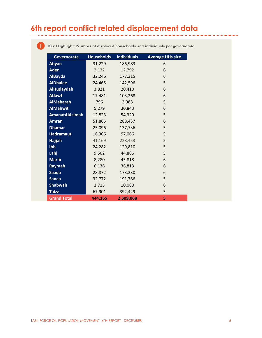# **6th report conflict related displacement data**

÷

| Governorate           | <b>Households</b> | <b>Individuals</b> | <b>Average HHs size</b> |
|-----------------------|-------------------|--------------------|-------------------------|
| Abyan                 | 31,229            | 186,983            | 6                       |
| <b>Aden</b>           | 2,132             | 12,792             | 6                       |
| <b>AlBayda</b>        | 32,246            | 177,315            | 6                       |
| <b>AlDhalee</b>       | 24,465            | 142,596            | 5                       |
| <b>AlHudaydah</b>     | 3,821             | 20,410             | 6                       |
| <b>AlJawf</b>         | 17,481            | 103,268            | 6                       |
| <b>AlMaharah</b>      | 796               | 3,988              | 5                       |
| <b>AlMahwit</b>       | 5,279             | 30,843             | 6                       |
| <b>AmanatAlAsimah</b> | 12,823            | 54,329             | 5                       |
| <b>Amran</b>          | 51,865            | 288,437            | 6                       |
| <b>Dhamar</b>         | 25,096            | 137,736            | 5                       |
| <b>Hadramaut</b>      | 16,306            | 97,066             | 5                       |
| Hajjah                | 41,169            | 228,453            | 5                       |
| Ibb                   | 24,282            | 129,810            | 5                       |
| Lahj                  | 9,502             | 44,886             | 5                       |
| <b>Marib</b>          | 8,280             | 45,818             | 6                       |
| Raymah                | 6,136             | 36,813             | 6                       |
| <b>Saada</b>          | 28,872            | 173,230            | 6                       |
| <b>Sanaa</b>          | 32,772            | 191,786            | 5                       |
| <b>Shabwah</b>        | 1,715             | 10,080             | 6                       |
| <b>Taizz</b>          | 67,901            | 392,429            | 5                       |
| <b>Grand Total</b>    | 444,165           | 2,509,068          | 5                       |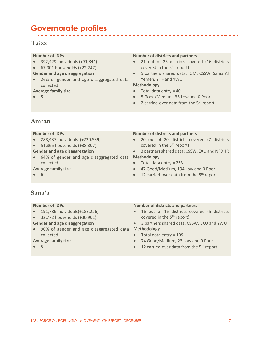# **Governorate profiles**

### **Taizz**

### **Number of IDPs**

- 392,429 individuals (+91,844)
- 67,901 households (+22,247)

### **Gender and age disaggregation**

 26% of gender and age disaggregated data collected

### **Average family size**

5

### **Number of districts and partners**

- 21 out of 23 districts covered (16 districts covered in the 5<sup>th</sup> report)
- 5 partners shared data: IOM, CSSW, Sama Al Yemen, YHF and YWU

### **Methodology**

- $\bullet$  Total data entry = 40
- 5 Good/Medium, 33 Low and 0 Poor
- 2 carried-over data from the  $5<sup>th</sup>$  report

### **Amran**

### **Number of IDPs**

- 288,437 individuals (+220,539)
- 51,865 households (+38,307)
- **Gender and age disaggregation**
- 64% of gender and age disaggregated data **Methodology** collected

### **Average family size**

 $66$ 

### **Number of districts and partners**

- 20 out of 20 districts covered (7 districts covered in the  $5<sup>th</sup>$  report)
- 3 partners shared data: CSSW, EXU and NFDHR
- $\bullet$  Total data entry = 253
- 47 Good/Medium, 194 Low and 0 Poor
- $\bullet$  12 carried-over data from the 5<sup>th</sup> report

### **Sana'a**

### **Number of IDPs**

- 191,786 individuals(+183,226)
- 32,772 households (+30,901)
- **Gender and age disaggregation**
- 90% of gender and age disaggregated data **Methodology** collected

### **Average family size**

5

- 16 out of 16 districts covered (5 districts covered in the  $5<sup>th</sup>$  report)
- 3 partners shared data: CSSW, EXU and YWU
- $\bullet$  Total data entry = 109
- 74 Good/Medium, 23 Low and 0 Poor
- $\bullet$  12 carried-over data from the 5<sup>th</sup> report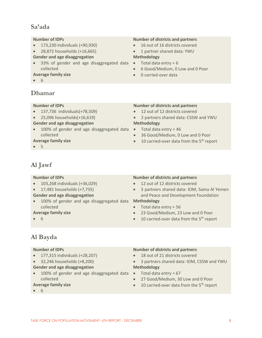### **Sa'ada**

### **Number of IDPs**

- 173,230 individuals (+90,930)
- 28,872 households (+16,665)
- **Gender and age disaggregation**
- 33% of gender and age disaggregated data Total data entry = 6 collected

### **Average family size**

6

### **Dhamar**

### **Number of IDPs**

- 137,736 individuals(+78,509)
- 25,096 households(+16,619)

### **Gender and age disaggregation**

• 100% of gender and age disaggregated data • Total data entry = 46 collected

### **Average family size**

5

### **Number of districts and partners**

- 16 out of 16 districts covered
- 1 partner shared data: YWU

### **Methodology**

- 
- 6 Good/Medium, 0 Low and 0 Poor
- 0 carried-over data

### **Number of districts and partners**

- 12 out of 12 districts covered
- 2 partners shared data: CSSW and YWU **Methodology**
- 
- 36 Good/Medium, 0 Low and 0 Poor
- $\bullet$  10 carried-over data from the 5<sup>th</sup> report

# **Al Jawf**

### **Number of IDPs**

- 103,268 individuals (+36,029)
- 17,481 households (+7,735)
- **Gender and age disaggregation**
- 100% of gender and age disaggregated data **Methodology** collected

### **Average family size**

6

### **Number of districts and partners**

- 12 out of 12 districts covered
- 3 partners shared data: IOM, Sama Al Yemen and Peace and Development Foundation

- $\bullet$  Total data entry = 56
- 23 Good/Medium, 23 Low and 0 Poor
- $\bullet$  10 carried-over data from the 5<sup>th</sup> report

# **Al Bayda**

### **Number of IDPs**

- 177,315 individuals (+28,207)
- 32,246 households (+8,200)

### **Gender and age disaggregation**

• 100% of gender and age disaggregated data • Total data entry = 67 collected

### **Average family size**

6

- 18 out of 21 districts covered
- 3 partners shared data: IOM, CSSW and YWU **Methodology**
- 
- 27 Good/Medium, 30 Low and 0 Poor
- $\bullet$  10 carried-over data from the 5<sup>th</sup> report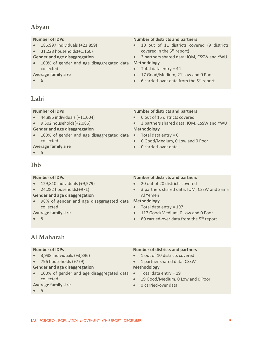### **Abyan**

### **Number of IDPs**

- 186,997 individuals (+23,859)
- $\bullet$  31,228 households(+1,160)
- **Gender and age disaggregation**
- 100% of gender and age disaggregated data **Methodology** collected

### **Average family size**

6

### **Number of districts and partners**

- 10 out of 11 districts covered (9 districts covered in the  $5<sup>th</sup>$  report)
- 3 partners shared data: IOM, CSSW and YWU

- $\bullet$  Total data entry = 44
- 17 Good/Medium, 21 Low and 0 Poor
- $\bullet$  6 carried-over data from the 5<sup>th</sup> report

### **Lahj**

### **Number of IDPs**

- 44,886 individuals (+11,004)
- 9,502 households(+2,086)

### **Gender and age disaggregation**

• 100% of gender and age disaggregated data • Total data entry = 6 collected

### **Average family size**

5

### **Ibb**

### **Number of IDPs**

- 129,810 individuals (+9,579)
- $\bullet$  24,282 households(+971)
- **Gender and age disaggregation**
- 98% of gender and age disaggregated data **Methodology** collected

### **Average family size**

 $• 5$ 

### **Number of districts and partners**

- 6 out of 15 districts covered
- 3 partners shared data: IOM, CSSW and YWU **Methodology**
- 
- 6 Good/Medium, 0 Low and 0 Poor
- 0 carried-over data

### **Number of districts and partners**

- 20 out of 20 districts covered
- 3 partners shared data: IOM, CSSW and Sama Al Yemen

- $\bullet$  Total data entry = 197
- 117 Good/Medium, 0 Low and 0 Poor
- $\bullet$  80 carried-over data from the 5<sup>th</sup> report

**Al Maharah**

### **Number of IDPs**

- 3,988 individuals (+3,896)
- 796 households (+779)

### **Gender and age disaggregation**

• 100% of gender and age disaggregated data • Total data entry = 19 collected

### **Average family size**

5

### **Number of districts and partners**

- 1 out of 10 districts covered
- 1 partner shared data: CSSW

### **Methodology**

- 
- 19 Good/Medium, 0 Low and 0 Poor
- 0 carried-over data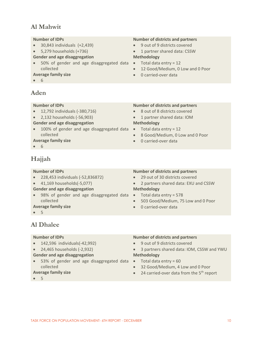### **Al Mahwit**

### **Number of IDPs**

- 30,843 individuals (+2,439)
- $\bullet$  5,279 households (+736)
- **Gender and age disaggregation**
- 50% of gender and age disaggregated data Total data entry = 12 collected
- **Average family size**
- 6

### **Aden**

### **Number of IDPs**

- 12,792 individuals (-380,716)
- 2,132 households (-56,903)

### **Gender and age disaggregation**

• 100% of gender and age disaggregated data • Total data entry = 12 collected

### **Average family size**

6

### **Hajjah**

### **Number of IDPs**

- 228,453 individuals (-52,836872)
- 41,169 households(-5,077)
- **Gender and age disaggregation**
- 98% of gender and age disaggregated data Total data entry = 578 collected

### **Average family size**

5

### **Number of districts and partners** 8 out of 8 districts covered

- 
- 1 partner shared data: IOM **Methodology**
- 
- 8 Good/Medium, 0 Low and 0 Poor
- 0 carried-over data

### **Number of districts and partners**

- 29 out of 30 districts covered
- 2 partners shared data: EXU and CSSW **Methodology**
- 
- 503 Good/Medium, 75 Low and 0 Poor
- 0 carried-over data

### **Al Dhalee**

### **Number of IDPs**

- 142,596 individuals(-42,992)
- 24,465 households (-2,932)
- **Gender and age disaggregation**
- 53% of gender and age disaggregated data Total data entry = 60 collected

### **Average family size**

5

### **Number of districts and partners**

- 9 out of 9 districts covered
- 3 partners shared data: IOM, CSSW and YWU **Methodology**
- 
- 32 Good/Medium, 4 Low and 0 Poor
- $\bullet$  24 carried-over data from the 5<sup>th</sup> report

- 9 out of 9 districts covered
- 1 partner shared data: CSSW **Methodology**
- 
- 12 Good/Medium, 0 Low and 0 Poor
- 0 carried-over data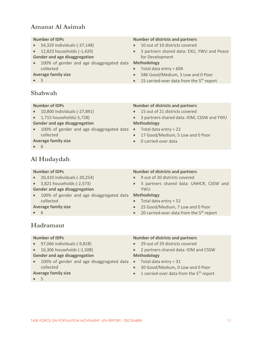### **Amanat Al Asimah**

### **Number of IDPs**

- 54,329 individuals (-37,148)
- 12,823 households (-1,420)
- **Gender and age disaggregation**
- 100% of gender and age disaggregated data **Methodology** collected

### **Average family size**

5

### **Shabwah**

### **Number of IDPs**

- 10,800 individuals (-27,891)
- 1,715 households(-5,728)

### **Gender and age disaggregation**

• 100% of gender and age disaggregated data • Total data entry = 22 collected

### **Average family size**

6

# **Al Hudaydah**

### **Number of IDPs**

- 20,410 individuals (-20,254)
- 3,821 households (-2,573)
- **Gender and age disaggregation**
- 100% of gender and age disaggregated data **Methodology** collected

### **Average family size**

 $66$ 

# **Number of districts and partners**

- 9 out of 20 districts covered
- 3 partners shared data: UNHCR, CSSW and YWU

- $\bullet$  Total data entry = 52
- 25 Good/Medium, 7 Low and 0 Poor
- $\bullet$  20 carried-over data from the 5<sup>th</sup> report

### **Hadramaut**

### **Number of IDPs**

- 97,066 individuals (-9,818)
- 16,306 households (-1,508)
- **Gender and age disaggregation**
- 100% of gender and age disaggregated data Total data entry = 31 collected

### **Average family size**

5

### **Number of districts and partners**

- 29 out of 29 districts covered
- 2 partners shared data: IOM and CSSW **Methodology**
- 
- 30 Good/Medium, 0 Low and 0 Poor
- $\bullet$  1 carried-over data from the 5<sup>th</sup> report
- 

- 10 out of 10 districts covered
- 3 partners shared data: EXU, YWU and Peace for Development

- $\bullet$  Total data entry = 604
- 586 Good/Medium, 3 Low and 0 Poor
- $\bullet$  15 carried-over data from the 5<sup>th</sup> report
- **Number of districts and partners**
- 15 out of 21 districts covered
- 3 partners shared data: IOM, CSSW and YWU **Methodology**
- 
- 17 Good/Medium, 5 Low and 0 Poor
- 0 carried-over data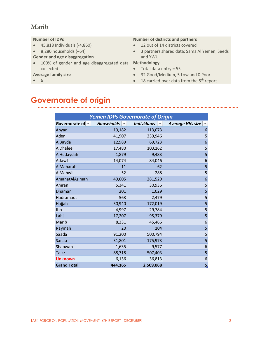### **Marib**

### **Number of IDPs**

- 45,818 Individuals (-4,860)
- $\bullet$  8,280 households (+64)
- **Gender and age disaggregation**
- 100% of gender and age disaggregated data **Methodology** collected

### **Average family size**

6

### **Number of districts and partners**

- 12 out of 14 districts covered
- 3 partners shared data: Sama Al Yemen, Seeds and YWU

- $\bullet$  Total data entry = 55
- 32 Good/Medium, 5 Low and 0 Poor
- $\bullet$  18 carried-over data from the 5<sup>th</sup> report

# **Governorate of origin**

| <b>Yemen IDPs Governorate of Origin</b> |                                 |                    |                          |  |  |  |  |  |  |  |  |  |
|-----------------------------------------|---------------------------------|--------------------|--------------------------|--|--|--|--|--|--|--|--|--|
| Governorate of -                        | Households $\blacktriangledown$ | <b>Individuals</b> | <b>Average HHs size</b>  |  |  |  |  |  |  |  |  |  |
| Abyan                                   | 19,182                          | 113,073            | 6                        |  |  |  |  |  |  |  |  |  |
| Aden                                    | 41,907                          | 239,946            | 5                        |  |  |  |  |  |  |  |  |  |
| AlBayda                                 | 12,989                          | 69,723             | $\boldsymbol{6}$         |  |  |  |  |  |  |  |  |  |
| AlDhalee                                | 17,480                          | 103,162            | 5                        |  |  |  |  |  |  |  |  |  |
| AlHudaydah                              | 1,879                           | 9,483              | 5                        |  |  |  |  |  |  |  |  |  |
| AlJawf                                  | 14,074                          | 84,046             | $\boldsymbol{6}$         |  |  |  |  |  |  |  |  |  |
| AlMaharah                               | 11                              | 62                 | 5                        |  |  |  |  |  |  |  |  |  |
| AlMahwit                                | 52                              | 288                | 5                        |  |  |  |  |  |  |  |  |  |
| AmanatAlAsimah                          | 49,605                          | 281,529            | $\boldsymbol{6}$         |  |  |  |  |  |  |  |  |  |
| Amran                                   | 5,341                           | 30,936             | $\overline{\mathbf{5}}$  |  |  |  |  |  |  |  |  |  |
| <b>Dhamar</b>                           | 201                             | 1,029              | 5                        |  |  |  |  |  |  |  |  |  |
| Hadramaut                               | 563                             | 2,479              | $\overline{\phantom{a}}$ |  |  |  |  |  |  |  |  |  |
| Hajjah                                  | 30,940                          | 172,019            | 5                        |  |  |  |  |  |  |  |  |  |
| Ibb                                     | 4,997                           | 29,784             | 5                        |  |  |  |  |  |  |  |  |  |
| Lahj                                    | 17,207                          | 95,379             | 5                        |  |  |  |  |  |  |  |  |  |
| Marib                                   | 8,231                           | 45,466             | $\overline{6}$           |  |  |  |  |  |  |  |  |  |
| Raymah                                  | 20                              | 104                | 5                        |  |  |  |  |  |  |  |  |  |
| Saada                                   | 91,200                          | 500,794            | $\overline{5}$           |  |  |  |  |  |  |  |  |  |
| Sanaa                                   | 31,801                          | 175,973            | 5                        |  |  |  |  |  |  |  |  |  |
| Shabwah                                 | 1,635                           | 9,577              | 6                        |  |  |  |  |  |  |  |  |  |
| <b>Taizz</b>                            | 88,718                          | 507,403            | 5                        |  |  |  |  |  |  |  |  |  |
| <b>Unknown</b>                          | 6,136                           | 36,813             | $\boldsymbol{6}$         |  |  |  |  |  |  |  |  |  |
| <b>Grand Total</b>                      | 444,165                         | 2,509,068          | 5,                       |  |  |  |  |  |  |  |  |  |